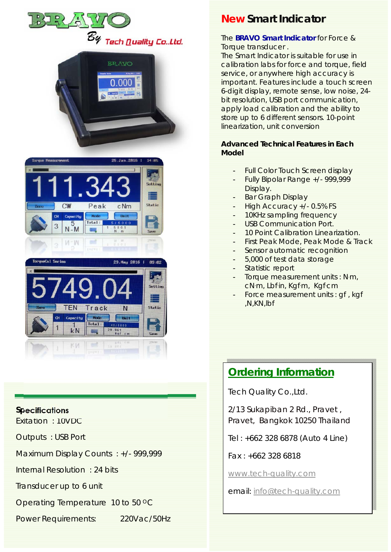





### **Specifications**

Exitation : 10VDC

Outputs : USB Port

Maximum Display Counts : +/- 999,999

Internal Resolution : 24 bits

Transducer up to 6 unit

Operating Temperature 10 to 50 °C

Power Requirements: 220Vac/50Hz

**New Smart Indicator** 

### The **BRAVO Smart Indicator** for Force & Torque transducer .

The Smart Indicator is suitable for use in calibration labs for force and torque, field service, or anywhere high accuracy is important. Features include a touch screen 6-digit display, remote sense, low noise, 24 bit resolution, USB port communication, apply load calibration and the ability to store up to 6 different sensors. 10-point linearization, unit conversion

### *Advanced Technical Features in Each Model*

- Full Color Touch Screen display
- Fully Bipolar Range +/- 999,999 Display.
- Bar Graph Display
- High Accuracy +/- 0.5% FS
- 10KHz sampling frequency
- USB Communication Port.
- 10 Point Calibration Linearization.
- First Peak Mode, Peak Mode & Track
- Sensor automatic recognition
- 5,000 of test data storage
- Statistic report
- Torque measurement units : Nm, cNm, Lbfin, Kgfm, Kgfcm
- Force measurement units : gf, kgf ,N,KN,lbf

### **Ordering Information**

Tech Quality Co.,Ltd.

2/13 Sukapiban 2 Rd., Pravet , Pravet, Bangkok 10250 Thailand

Tel : +662 328 6878 (Auto 4 Line)

Fax : +662 328 6818

www.tech-quality.com

email: info@tech-quality.com